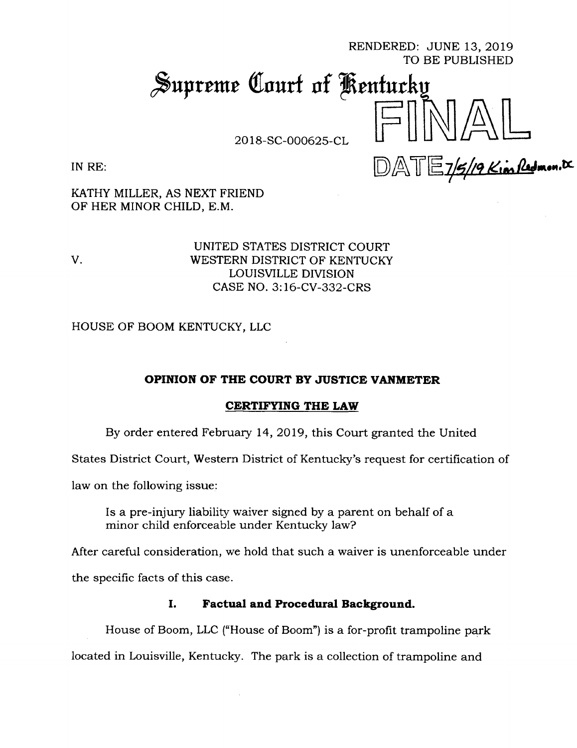RENDERED: JUNE 13, 2019 TO BE PUBLISHED

# Supreme Court of Kentucky

2018-SC-000625-CL

IN RE:

 $\mathbb{DAT}E_7$ /9 Kim Redmon.

KATHY MILLER, AS NEXT FRIEND OF HER MINOR CHILD, E.M.

UNITED STATES DISTRICT COURT V. WESTERN DISTRICT OF KENTUCKY LOUISVILLE DIVISION CASE NO. 3:16-CV-332-CRS

HOUSE OF BOOM KENTUCKY, LLC

## **OPINION OF THE COURT BY JUSTICE VANMETER**

## **CERTIFYING THE LAW**

By order entered February 14, 2019, this Court granted the United

States District Court, Western District of Kentucky's request for certification of

law on the following issue:

Is a pre-injury liability waiver signed by a parent on behalf of a minor child enforceable under Kentucky law?

After careful consideration, we hold that such a waiver is unenforceable under

the specific facts of this case.

## **I. Factual and Procedural Background.**

House of Boom, LLC ("House of Boom") is a for-profit trampoline park located in Louisville, Kentucky. The park is a collection of trampoline and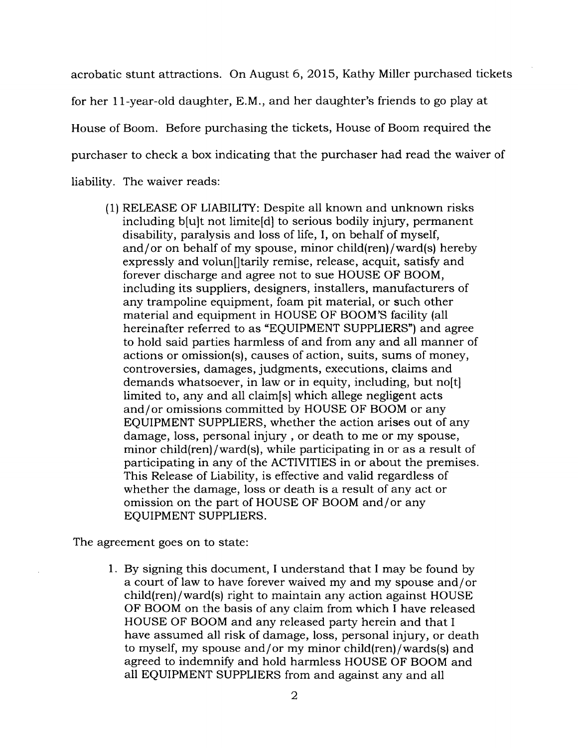acrobatic stunt attractions. On August 6, 2015, Kathy Miller purchased tickets for her 11-year-old daughter, E.M., and her daughter's friends to go play at House of Boom. Before purchasing the tickets, House of Boom required the purchaser to check a box indicating that the purchaser had read the waiver of liability. The waiver reads:

(1) RELEASE OF LIABILITY: Despite all known and unknown risks including b[u]t not limite[d] to serious bodily injury, permanent disability, paralysis and loss of life, I, on behalf of myself, and/or on behalf of my spouse, minor child(ren)/ward(s) hereby expressly and volun[ltarily remise, release, acquit, satisfy and forever discharge and agree not to sue HOUSE OF BOOM, including its suppliers, designers, installers, manufacturers of any trampoline equipment, foam pit material, or such other material and equipment in HOUSE OF BOOM'S facility (all hereinafter referred to as "EQUIPMENT SUPPLIERS") and agree to hold said parties harmless of and from any and all manner of actions or omission(s), causes of action, suits, sums of money, controversies, damages, judgments, executions, claims and demands whatsoever, in law or in equity, including, but no[t] limited to, any and all claim[s] which allege negligent acts and/or omissions committed by HOUSE OF BOOM or any EQUIPMENT SUPPLIERS, whether the action arises out of any damage, loss, personal injury , or death to me or my spouse, minor child(ren)/ward(s), while participating in or as a result of participating in any of the ACTIVITIES in or about the premises. This Release of Liability, is effective and valid regardless of whether the damage, loss or death is a result of any act or omission on the part of HOUSE OF BOOM and/or any EQUIPMENT SUPPLIERS.

The agreement goes on to state:

1. By signing this document, I understand that I may be found by a court of law to have forever waived my and my spouse and/ or child(ren)/ward(s) right to maintain any action against HOUSE OF BOOM on the basis of any claim from which I have released HOUSE OF BOOM and any released party herein and that I have assumed all risk of damage, loss, personal injury, or death to myself, my spouse and/or my minor child(ren)/wards(s) and agreed to indemnify and hold harmless HOUSE OF BOOM and all EQUIPMENT SUPPLIERS from and against any and all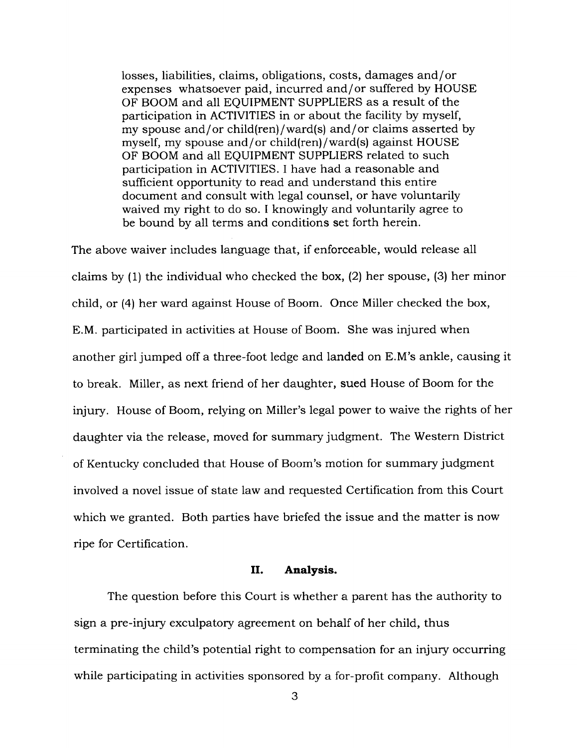losses, liabilities, claims, obligations, costs, damages and/or expenses whatsoever paid, incurred and/or suffered by HOUSE OF BOOM and all EQUIPMENT SUPPLIERS as a result of the participation in ACTIVITIES in or about the facility by myself, my spouse and/or child(ren)/ward(s) and/or claims asserted by myself, my spouse and/or child(ren)/ward(s) against HOUSE OF BOOM and all EQUIPMENT SUPPLIERS related to such participation in ACTIVITIES. I have had a reasonable and sufficient opportunity to read and understand this entire document and consult with legal counsel, or have voluntarily waived my right to do so. I knowingly and voluntarily agree to be bound by all terms and conditions set forth herein.

The above waiver includes language that, if enforceable, would release all claims by (1) the individual who checked the box, (2) her spouse, (3) her minor child, or (4) her ward against House of Boom. Once Miller checked the box, E.M. participated in activities at House of Boom. She was injured when another girl jumped off a three-foot ledge and landed on E.M's ankle, causing it to break. Miller, as next friend of her daughter, sued House of Boom for the injury. House of Boom, relying on Miller's legal power to waive the rights of her daughter via the release, moved for summary judgment. The Western District of Kentucky concluded that House of Boom's motion for summary judgment involved a novel issue of state law and requested Certification from this Court which we granted. Both parties have briefed the issue and the matter is now ripe for Certification.

## **II. Analysis.**

The question before this Court is whether a parent has the authority to sign a pre-injury exculpatory agreement on behalf of her child, thus terminating the child's potential right to compensation for an injury occurring while participating in activities sponsored by a for-profit company. Although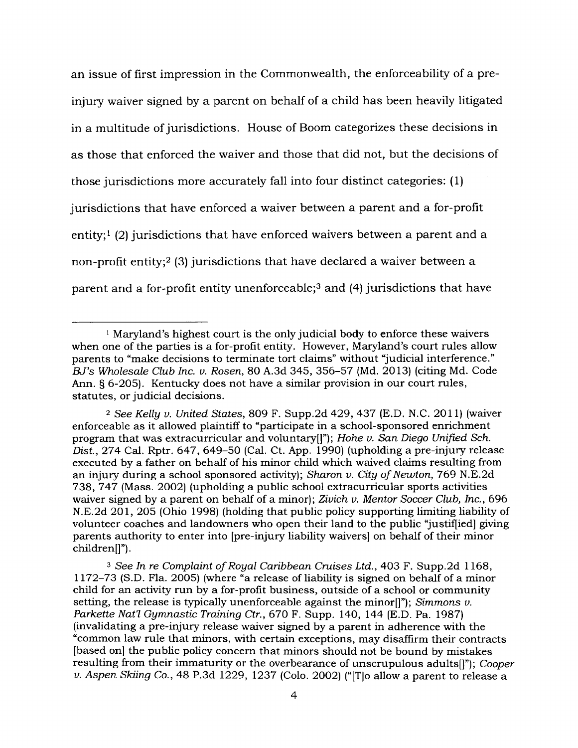an issue of first impression in the Commonwealth, the enforceability of a preinjury waiver signed by a parent on behalf of a child has been heavily litigated in a multitude of jurisdictions. House of Boom categorizes these decisions in as those that enforced the waiver and those that did not, but the decisions of those jurisdictions more accurately fall into four distinct categories: (1) jurisdictions that have enforced a waiver between a parent and a for-profit entity;<sup>1</sup> (2) jurisdictions that have enforced waivers between a parent and a non-profit entity;<sup>2</sup> (3) jurisdictions that have declared a waiver between a parent and a for-profit entity unenforceable;<sup>3</sup> and (4) jurisdictions that have

*<sup>3</sup> See In re Complaint ofRoyal Caribbean Cruises Ltd.,* 403 F. Supp.2d 1168, 1172-73 (S.D. Fla. 2005) (where "a release of liability is signed on behalf of a minor child for an activity run by a for-profit business, outside of a school or community setting, the release is typically unenforceable against the minor[]"); *Simmons v. Parkette Nat'l Gymnastic Training Ctr.,* 670 F. Supp. 140, 144 (E.D. Pa. 1987) (invalidating a pre-injury release waiver signed by a parent in adherence with the "common law rule that minors, with certain exceptions, may disaffirm their contracts [based on] the public policy concern that minors should not be bound by mistakes resulting from their immaturity or the overbearance of unscrupulous adults[]"); *Cooper v. Aspen Skiing Co.,* 48 P.3d 1229, 1237 (Colo. 2002) ("[T]o allow a parent to release a

 $1$  Maryland's highest court is the only judicial body to enforce these waivers when one of the parties is a for-profit entity. However, Maryland's court rules allow parents to "make decisions to terminate tort claims" without "judicial interference." *BJ's Wholesale Club Inc. v. Rosen,* 80 A.3d 345, 356-57 (Md. 2013) (citing Md. Code Ann. § 6-205). Kentucky does not have a similar provision in our court rules, statutes, or judicial decisions.

*<sup>2</sup> See Kelly u. United States,* 809 F. Supp.2d 429, 437 (E.D. N.C. 2011) (waiver enforceable as it allowed plaintiff to "participate in a school-sponsored enrichment program that was extracurricular and voluntary[]"); *Hohe v. San Diego Unified Sch. Dist.,* 274 Cal. Rptr. 647, 649-50 (Cal. Ct. App. 1990) (upholding a pre-injury release executed by a father on behalf of his minor child which waived claims resulting from an injury during a school sponsored activity); *Sharon v. City ofNewton,* 769 N.E.2d 738, 747 (Mass. 2002) (upholding a public school extracurricular sports activities waiver signed by a parent on behalf of a minor); *Zivich v. Mentor Soccer Club, Inc.,* 696 N.E.2d 201, 205 (Ohio 1998) (holding that public policy supporting limiting liability of volunteer coaches and landowners who open their land to the public "justified] giving parents authority to enter into [pre-injury liability waivers] on behalf of their minor children[]").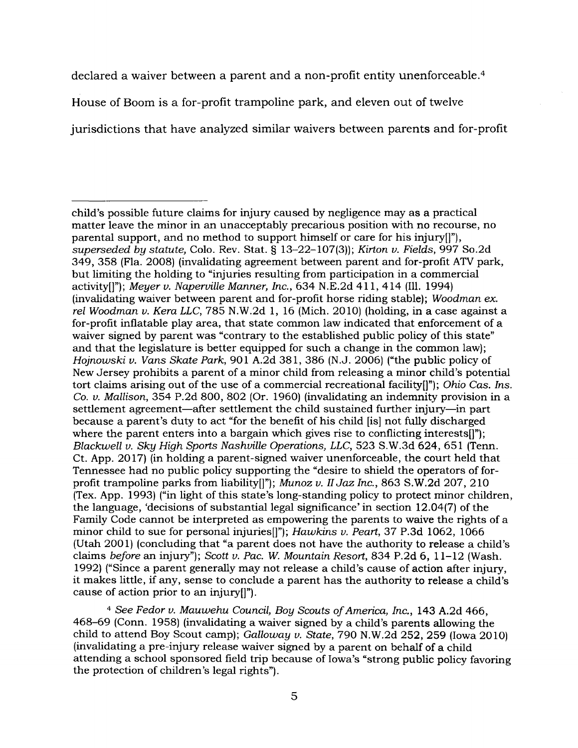declared a waiver between a parent and a non-profit entity unenforceable.<sup>4</sup>

House of Boom is a for-profit trampoline park, and eleven out of twelve

jurisdictions that have analyzed similar waivers between parents and for-profit

*<sup>4</sup> See Fedor v. Mauwehu Council, Boy Scouts ofAmerica, Inc.,* 143 A.2d 466, 468-69 (Conn. 1958) (invalidating a waiver signed by a child's parents allowing the child to attend Boy Scout camp); *Galloway v. State,* 790 N.W.2d 252, 259 (Iowa 2010) (invalidating a pre-injury release waiver signed by a parent on behalf of a child attending a school sponsored field trip because of Iowa's "strong public policy favoring the protection of children's legal rights").

child's possible future claims for injury caused by negligence may as a practical matter leave the minor in an unacceptably precarious position with no recourse, no parental support, and no method to support himself or care for his injury[]"), *superseded by statute,* Colo. Rev. Stat. § 13-22-107(3)); *Kirton v. Fields,* 997 So.2d 349, 358 (Fla. 2008) (invalidating agreement between parent and for-profit ATV park, but limiting the holding to "injuries resulting from participation in a commercial activity[]"); *Meyer v. Naperville Manner, Inc.,* 634 N.E.2d 411, 414 (Ill. 1994) (invalidating waiver between parent and for-profit horse riding stable); *Woodman ex. rel Woodman v. Kera LLC,* 785 N.W.2d 1, 16 (Mich. 2010) (holding, in a case against a for-profit inflatable play area, that state common law indicated that enforcement of a waiver signed by parent was "contrary to the established public policy of this state" and that the legislature is better equipped for such a change in the common law); *Hojnowski v. Vans Skate Park,* 901 A.2d 381, 386 (N.J. 2006) ("the public policy of New Jersey prohibits a parent of a minor child from releasing a minor child's potential tort claims arising out of the use of a commercial recreational facility[]"); *Ohio Cas. Ins. Co. v. Mallison,* 354 P.2d 800, 802 (Or. 1960) (invalidating an indemnity provision in a settlement agreement—after settlement the child sustained further injury—in part because a parent's duty to act "for the benefit of his child [is] not fully discharged where the parent enters into a bargain which gives rise to conflicting interests[1"); *Blackwell v. Sky High Sports Nashville Operations, LLC,* 523 S.W.3d 624, 651 (Tenn. Ct. App. 2017) (in holding a parent-signed waiver unenforceable, the court held that Tennessee had no public policy supporting the "desire to shield the operators of forprofit trampoline parks from liability[]"); *Munoz v. II Jaz Inc.*, 863 S.W.2d 207, 210 (Tex. App. 1993) ("in light of this state's long-standing policy to protect minor children, the language, 'decisions of substantial legal significance' in section 12.04(7) of the Family Code cannot be interpreted as empowering the parents to waive the rights of a minor child to sue for personal injuries[]"); *Hawkins v. Peart, 37* P.3d 1062, 1066 (Utah 2001) (concluding that "a parent does not have the authority to release a child's claims *before* an injury"); *Scott v. Pac. W. Mountain Resort,* 834 P.2d 6, 11-12 (Wash. 1992) ("Since a parent generally may not release a child's cause of action after injury, it makes little, if any, sense to conclude a parent has the authority to release a child's cause of action prior to an injury[]").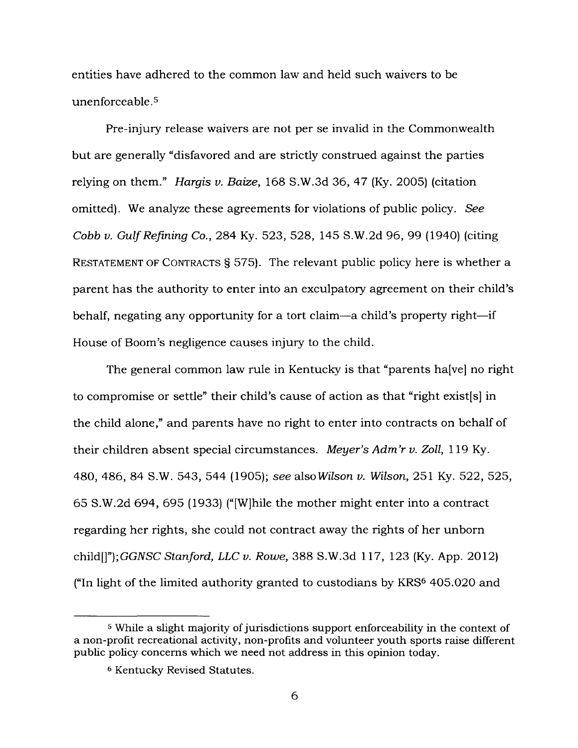entities have adhered to the common law and held such waivers to be unenforceable.<sup>5</sup>

Pre-injury release waivers are not per se invalid in the Commonwealth but are generally "disfavored and are strictly construed against the parties relying on them." *Hargis v. Baize,* 168 S.W.3d 36, 47 (Ky. 2005) (citation omitted). We analyze these agreements for violations of public policy. *See Cobb v. GulfRefining Co.,* 284 Ky. 523, 528, 145 S.W.2d 96, 99 (1940) (citing RESTATEMENT OF CONTRACTS § 575). The relevant public policy here is whether a parent has the authority to enter into an exculpatory agreement on their child's behalf, negating any opportunity for a tort claim—a child's property right—if House of Boom's negligence causes injury to the child.

The general common law rule in Kentucky is that "parents ha[ve] no right to compromise or settle" their child's cause of action as that "right existfs] in the child alone," and parents have no right to enter into contracts on behalf of their children absent special circumstances. *Meyer's Adm'r v. Zoll,* 119 Ky. 480, 486, 84 S.W. 543, 544 (1905); *see also Wilson v. Wilson,* 251 Ky. 522, 525, 65 S.W.2d 694, 695 (1933) ("[W]hile the mother might enter into a contract regarding her rights, she could not contract away the rights of her unborn child*[]");GGNSC Stanford, LLC v. Rowe,* 388 S.W.3d 117, 123 (Ky. App. 2012) ("In light of the limited authority granted to custodians by KRS<sup>6</sup> 405.020 and

<sup>&</sup>lt;sup>5</sup> While a slight majority of jurisdictions support enforceability in the context of a non-profit recreational activity, non-profits and volunteer youth sports raise different public policy concerns which we need not address in this opinion today.

<sup>6</sup> Kentucky Revised Statutes.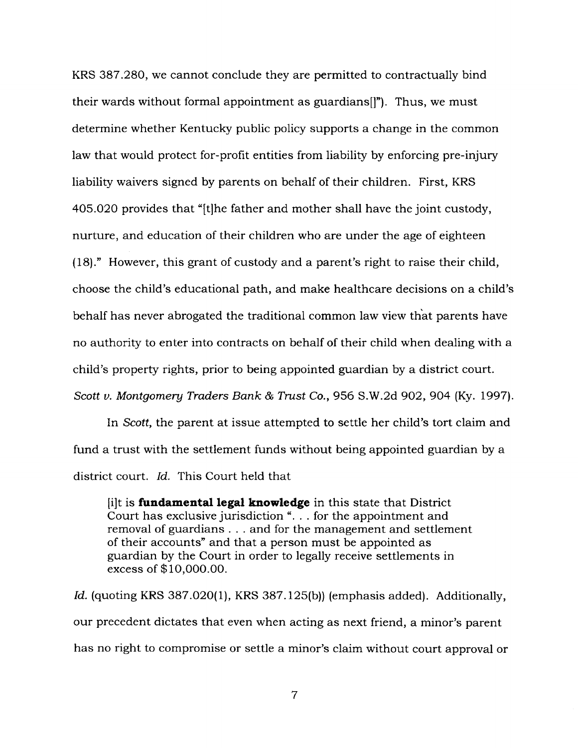KRS 387.280, we cannot conclude they are permitted to contractually bind their wards without formal appointment as guardians[)"). Thus, we must determine whether Kentucky public policy supports a change in the common law that would protect for-profit entities from liability by enforcing pre-injury liability waivers signed by parents on behalf of their children. First, KRS 405.020 provides that "[t]he father and mother shall have the joint custody, nurture, and education of their children who are under the age of eighteen (18)." However, this grant of custody and a parent's right to raise their child, choose the child's educational path, and make healthcare decisions on a child's behalf has never abrogated the traditional common law view that parents have no authority to enter into contracts on behalf of their child when dealing with a child's property rights, prior to being appointed guardian by a district court. *Scott v. Montgomery Traders Bank & Trust Co.,* 956 S.W.2d 902, 904 (Ky. 1997).

In *Scott,* the parent at issue attempted to settle her child's tort claim and fund a trust with the settlement funds without being appointed guardian by a district court. *Id.* This Court held that

[i]t is **fundamental legal knowledge** in this state that District Court has exclusive jurisdiction "... for the appointment and removal of guardians . . . and for the management and settlement of their accounts" and that a person must be appointed as guardian by the Court in order to legally receive settlements in excess of \$10,000.00.

*Id.* (quoting KRS 387.020(1), KRS 387.125(b)) (emphasis added). Additionally, our precedent dictates that even when acting as next friend, a minor's parent has no right to compromise or settle a minor's claim without court approval or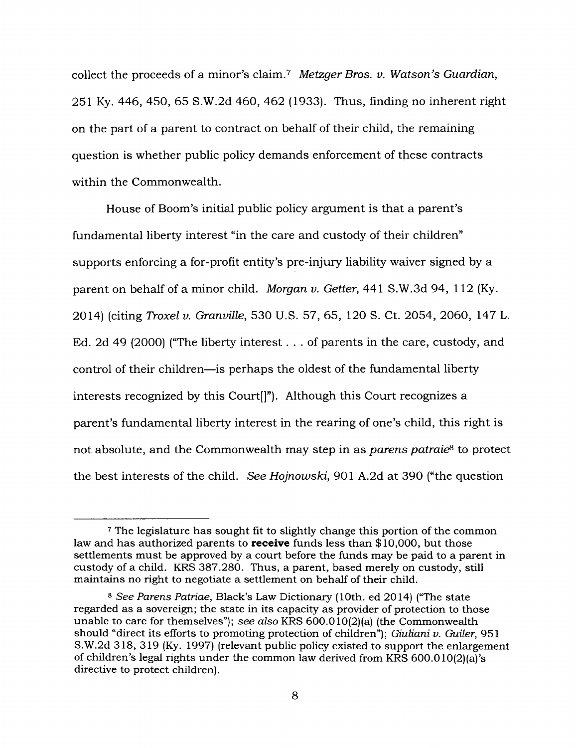collect the proceeds of a minor's claim.<sup>7</sup> *Metzger Bros. v. Watson's Guardian,* 251 Ky. 446, 450, 65 S.W.2d 460, 462 (1933). Thus, finding no inherent right on the part of a parent to contract on behalf of their child, the remaining question is whether public policy demands enforcement of these contracts within the Commonwealth.

House of Boom's initial public policy argument is that a parent's fundamental liberty interest "in the care and custody of their children" supports enforcing a for-profit entity's pre-injury liability waiver signed by a parent on behalf of a minor child. *Morgan v. Getter,* 441 S.W.3d 94, 112 (Ky. 2014) (citing *Troxel v. Granville,* 530 U.S. 57, 65, 120 S. Ct. 2054, 2060, 147 L. Ed. 2d <sup>49</sup> (2000) ("The liberty interest... of parents in the care, custody, and control of their children—is perhaps the oldest of the fundamental liberty interests recognized by this Court[]"). Although this Court recognizes a parent's fundamental liberty interest in the rearing of one's child, this right is not absolute, and the Commonwealth may step in as *parens patraie8* to protect the best interests of the child. *See Hojnowski,* 901 A.2d at 390 ("the question

<sup>7</sup> The legislature has sought fit to slightly change this portion of the common law and has authorized parents to **receive** funds less than \$10,000, but those settlements must be approved by a court before the funds may be paid to a parent in custody of a child. KRS 387.280. Thus, a parent, based merely on custody, still maintains no right to negotiate a settlement on behalf of their child.

*<sup>8</sup> See Parens Patriae,* Black's Law Dictionary (10th. ed 2014) ("The state regarded as a sovereign; the state in its capacity as provider of protection to those unable to care for themselves"); *see also* KRS 600.010(2)(a) (the Commonwealth should "direct its efforts to promoting protection of children"); *Giuliani v. Guiler,* 951 S.W.2d 318, 319 (Ky. 1997) (relevant public policy existed to support the enlargement of children's legal rights under the common law derived from KRS 600.010(2)(a)'s directive to protect children).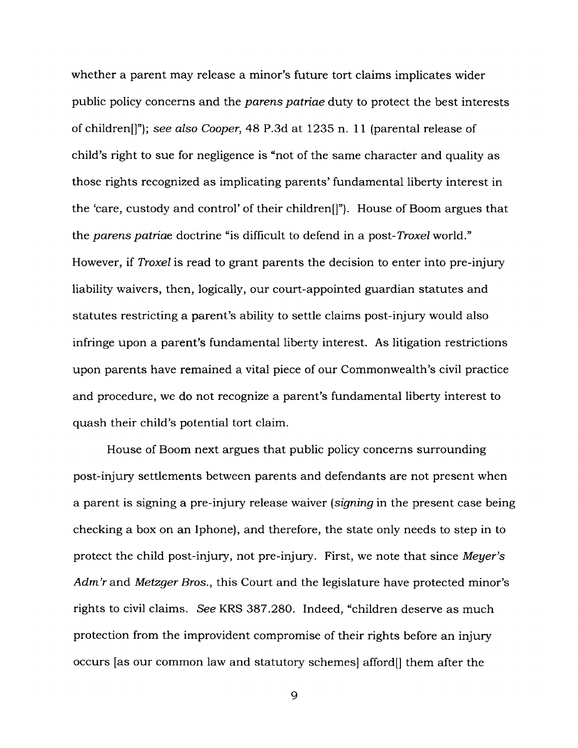whether a parent may release a minor's future tort claims implicates wider public policy concerns and the *parens patriae* duty to protect the best interests of children[]"); *see also Cooper,* 48 P.3d at 1235 n. 11 (parental release of child's right to sue for negligence is "not of the same character and quality as those rights recognized as implicating parents' fundamental liberty interest in the 'care, custody and control' of their children[]"). House of Boom argues that the *parens patriae* doctrine "is difficult to defend in a post-*Troxel* world." However, if *Troxel* is read to grant parents the decision to enter into pre-injury liability waivers, then, logically, our court-appointed guardian statutes and statutes restricting a parent's ability to settle claims post-injury would also infringe upon a parent's fundamental liberty interest. As litigation restrictions upon parents have remained a vital piece of our Commonwealth's civil practice and procedure, we do not recognize a parent's fundamental liberty interest to quash their child's potential tort claim.

House of Boom next argues that public policy concerns surrounding post-injury settlements between parents and defendants are not present when a parent is signing a pre-injury release waiver *(signing* in the present case being checking a box on an Iphone), and therefore, the state only needs to step in to protect the child post-injury, not pre-injury. First, we note that since *Meyer's Adm'r* and *Metzger Bros.,* this Court and the legislature have protected minor's rights to civil claims. *See* KRS 387.280. Indeed, "children deserve as much protection from the improvident compromise of their rights before an injury occurs [as our common law and statutory schemes] afford[] them after the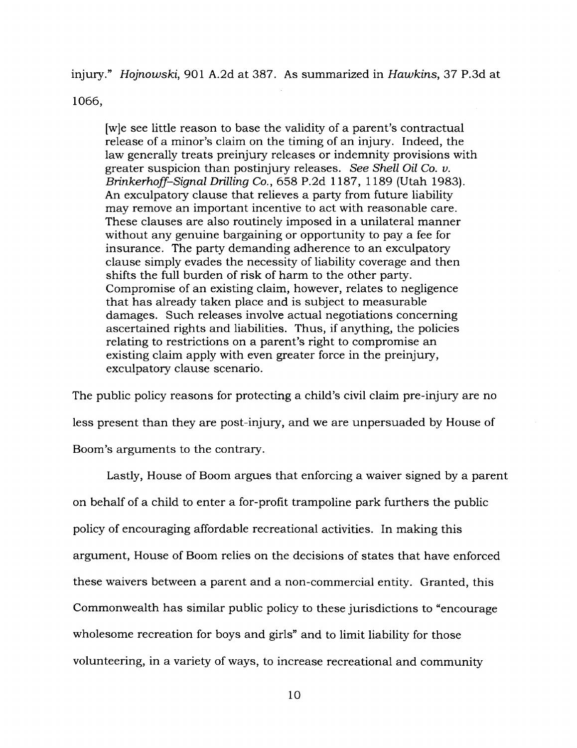injury." *Hojnowski,* 901 A.2d at 387. As summarized in *Hawkins,* 37 P.3d at

1066,

[w]e see little reason to base the validity of a parent's contractual release of a minor's claim on the timing of an injury. Indeed, the law generally treats preinjury releases or indemnity provisions with greater suspicion than postinjury releases. *See Shell Oil Co. v. Brinkerhoff-Signal Drilling Co.,* 658 P.2d 1187, 1189 (Utah 1983). An exculpatory clause that relieves a party from future liability may remove an important incentive to act with reasonable care. These clauses are also routinely imposed in a unilateral manner without any genuine bargaining or opportunity to pay a fee for insurance. The party demanding adherence to an exculpatory clause simply evades the necessity of liability coverage and then shifts the full burden of risk of harm to the other party. Compromise of an existing claim, however, relates to negligence that has already taken place and is subject to measurable damages. Such releases involve actual negotiations concerning ascertained rights and liabilities. Thus, if anything, the policies relating to restrictions on a parent's right to compromise an existing claim apply with even greater force in the preinjury, exculpatory clause scenario.

The public policy reasons for protecting a child's civil claim pre-injury are no less present than they are post-injury, and we are unpersuaded by House of Boom's arguments to the contrary.

Lastly, House of Boom argues that enforcing a waiver signed by a parent on behalf of a child to enter a for-profit trampoline park furthers the public policy of encouraging affordable recreational activities. In making this argument, House of Boom relies on the decisions of states that have enforced these waivers between a parent and a non-commercial entity. Granted, this Commonwealth has similar public policy to these jurisdictions to "encourage wholesome recreation for boys and girls" and to limit liability for those volunteering, in a variety of ways, to increase recreational and community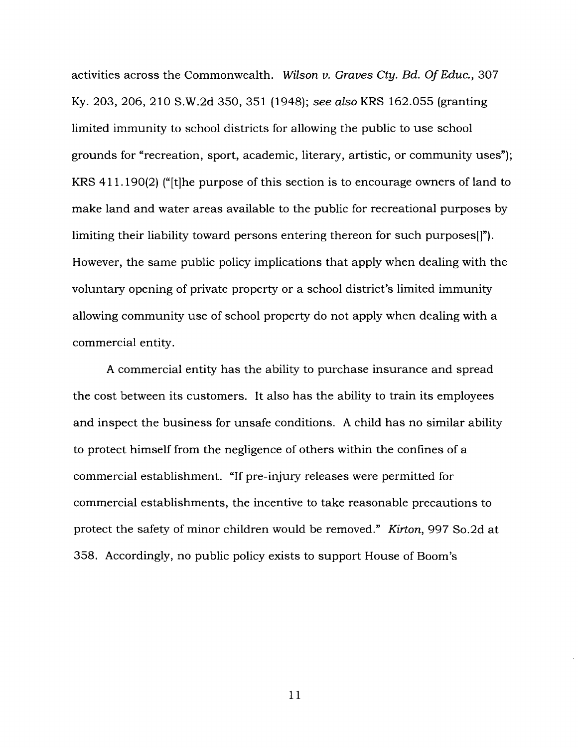activities across the Commonwealth. *Wilson v. Graves Cty. Bd. OfEduc.,* 307 Ky. 203, 206, 210 S.W.2d 350, 351 (1948); *see also* KRS 162.055 (granting limited immunity to school districts for allowing the public to use school grounds for "recreation, sport, academic, literary, artistic, or community uses"); KRS 411.190(2) ("[t]he purpose of this section is to encourage owners of land to make land and water areas available to the public for recreational purposes by limiting their liability toward persons entering thereon for such purposes[]"). However, the same public policy implications that apply when dealing with the voluntary opening of private property or a school district's limited immunity allowing community use of school property do not apply when dealing with a commercial entity.

A commercial entity has the ability to purchase insurance and spread the cost between its customers. It also has the ability to train its employees and inspect the business for unsafe conditions. A child has no similar ability to protect himself from the negligence of others within the confines of a commercial establishment. "If pre-injury releases were permitted for commercial establishments, the incentive to take reasonable precautions to protect the safety of minor children would be removed." *Kirton,* 997 So.2d at 358. Accordingly, no public policy exists to support House of Boom's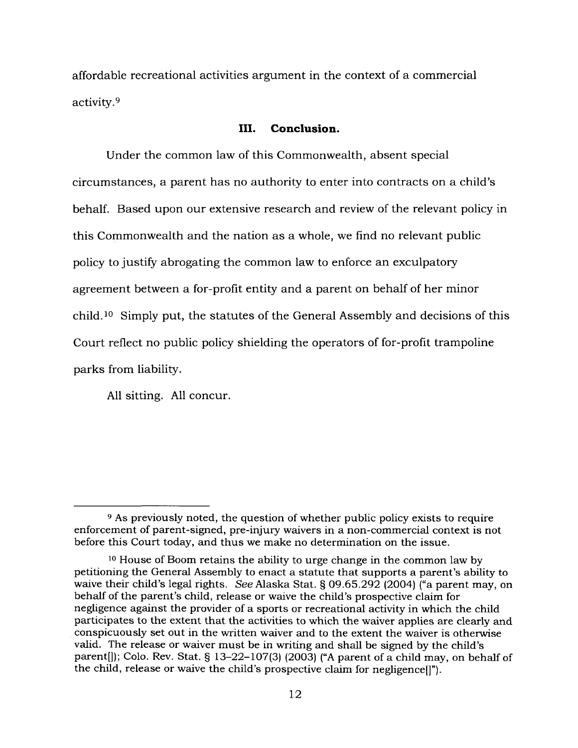affordable recreational activities argument in the context of a commercial activity.<sup>9</sup>

## **III. Conclusion.**

Under the common law of this Commonwealth, absent special circumstances, a parent has no authority to enter into contracts on a child's behalf. Based upon our extensive research and review of the relevant policy in this Commonwealth and the nation as a whole, we find no relevant public policy to justify abrogating the common law to enforce an exculpatory agreement between a for-profit entity and a parent on behalf of her minor child.<sup>10</sup> Simply put, the statutes of the General Assembly and decisions of this Court reflect no public policy shielding the operators of for-profit trampoline parks from liability.

All sitting. All concur.

<sup>9</sup> As previously noted, the question of whether public policy exists to require enforcement of parent-signed, pre-injury waivers in a non-commercial context is not before this Court today, and thus we make no determination on the issue.

<sup>10</sup> House of Boom retains the ability to urge change in the common law by petitioning the General Assembly to enact a statute that supports a parent's ability to waive their child's legal rights. *See* Alaska Stat. § 09.65.292 (2004) ("a parent may, on behalf of the parent's child, release or waive the child's prospective claim for negligence against the provider of a sports or recreational activity in which the child participates to the extent that the activities to which the waiver applies are clearly and conspicuously set out in the written waiver and to the extent the waiver is otherwise valid. The release or waiver must be in writing and shall be signed by the child's parent[]); Colo. Rev. Stat. § 13-22-107(3) (2003) ("A parent of a child may, on behalf of the child, release or waive the child's prospective claim for negligence[]").